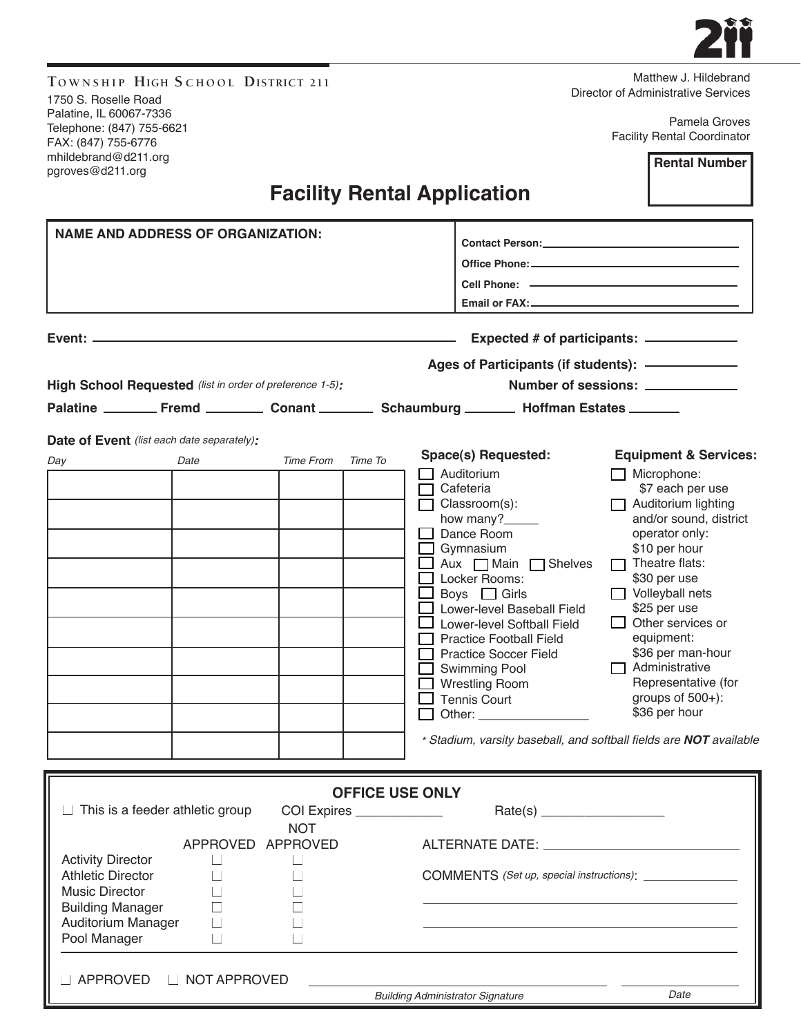| TOWNSHIP HIGH SCHOOL DISTRICT 211<br>1750 S. Roselle Road                                           |                   |                          |                        |  |                                                                                                                              | Matthew J. Hildebrand<br>Director of Administrative Services       |  |
|-----------------------------------------------------------------------------------------------------|-------------------|--------------------------|------------------------|--|------------------------------------------------------------------------------------------------------------------------------|--------------------------------------------------------------------|--|
| Palatine, IL 60067-7336<br>Telephone: (847) 755-6621<br>FAX: (847) 755-6776<br>mhildebrand@d211.org |                   |                          |                        |  |                                                                                                                              | Pamela Groves<br><b>Facility Rental Coordinator</b>                |  |
| pgroves@d211.org                                                                                    |                   |                          |                        |  |                                                                                                                              | <b>Rental Number</b>                                               |  |
|                                                                                                     |                   |                          |                        |  | <b>Facility Rental Application</b>                                                                                           |                                                                    |  |
| <b>NAME AND ADDRESS OF ORGANIZATION:</b>                                                            |                   |                          |                        |  | Contact Person: New York Contact Person:                                                                                     |                                                                    |  |
|                                                                                                     |                   |                          |                        |  |                                                                                                                              |                                                                    |  |
|                                                                                                     |                   |                          |                        |  |                                                                                                                              |                                                                    |  |
|                                                                                                     |                   |                          |                        |  |                                                                                                                              |                                                                    |  |
|                                                                                                     |                   |                          |                        |  |                                                                                                                              |                                                                    |  |
|                                                                                                     |                   |                          |                        |  |                                                                                                                              |                                                                    |  |
| High School Requested (list in order of preference 1-5):                                            |                   |                          |                        |  | Number of sessions:<br>Palatine __________ Fremd ___________ Conant ___________ Schaumburg _________ Hoffman Estates _______ |                                                                    |  |
|                                                                                                     |                   |                          |                        |  |                                                                                                                              |                                                                    |  |
| <b>Date of Event</b> (list each date separately):                                                   |                   |                          |                        |  | Space(s) Requested:                                                                                                          | <b>Equipment &amp; Services:</b>                                   |  |
| Day                                                                                                 | Date              | <b>Time From</b>         | Time To                |  | Auditorium                                                                                                                   | $\Box$ Microphone:                                                 |  |
|                                                                                                     |                   |                          |                        |  | Cafeteria                                                                                                                    | \$7 each per use                                                   |  |
|                                                                                                     |                   |                          |                        |  | Classroom(s):<br>how many?                                                                                                   | Auditorium lighting<br>and/or sound, district                      |  |
|                                                                                                     |                   |                          |                        |  | Dance Room                                                                                                                   | operator only:                                                     |  |
|                                                                                                     |                   |                          |                        |  | Gymnasium                                                                                                                    | \$10 per hour<br>$\Box$ Theatre flats:                             |  |
|                                                                                                     |                   |                          |                        |  | Aux Main Shelves<br>Locker Rooms:                                                                                            | \$30 per use                                                       |  |
|                                                                                                     |                   |                          |                        |  | Boys $\Box$ Girls                                                                                                            | $\Box$ Volleyball nets                                             |  |
|                                                                                                     |                   |                          |                        |  | Lower-level Baseball Field<br>Lower-level Softball Field                                                                     | \$25 per use<br>Other services or                                  |  |
|                                                                                                     |                   |                          |                        |  | <b>Practice Football Field</b>                                                                                               | equipment:                                                         |  |
|                                                                                                     |                   |                          |                        |  | <b>Practice Soccer Field</b>                                                                                                 | \$36 per man-hour<br>$\Box$ Administrative                         |  |
|                                                                                                     |                   |                          |                        |  | Swimming Pool<br><b>Wrestling Room</b>                                                                                       | Representative (for                                                |  |
|                                                                                                     |                   |                          |                        |  | $\Box$ Tennis Court                                                                                                          | groups of 500+):                                                   |  |
|                                                                                                     |                   |                          |                        |  |                                                                                                                              | \$36 per hour                                                      |  |
|                                                                                                     |                   |                          |                        |  |                                                                                                                              | * Stadium, varsity baseball, and softball fields are NOT available |  |
|                                                                                                     |                   |                          |                        |  |                                                                                                                              |                                                                    |  |
| This is a feeder athletic group                                                                     |                   | COI Expires ____________ | <b>OFFICE USE ONLY</b> |  |                                                                                                                              |                                                                    |  |
|                                                                                                     |                   | <b>NOT</b>               |                        |  |                                                                                                                              |                                                                    |  |
|                                                                                                     | APPROVED APPROVED |                          |                        |  |                                                                                                                              |                                                                    |  |
| <b>Activity Director</b><br>$\Box$<br>$\Box$<br><b>Athletic Director</b>                            |                   |                          |                        |  |                                                                                                                              |                                                                    |  |
| <b>Music Director</b>                                                                               |                   |                          |                        |  |                                                                                                                              |                                                                    |  |
| <b>Building Manager</b>                                                                             |                   |                          |                        |  |                                                                                                                              |                                                                    |  |
| Auditorium Manager<br>Pool Manager                                                                  | П                 |                          |                        |  |                                                                                                                              |                                                                    |  |
|                                                                                                     |                   |                          |                        |  |                                                                                                                              |                                                                    |  |
| □ APPROVED                                                                                          | □ NOT APPROVED    |                          |                        |  |                                                                                                                              |                                                                    |  |
|                                                                                                     |                   |                          |                        |  | <b>Building Administrator Signature</b>                                                                                      | Date                                                               |  |

 $\bullet$